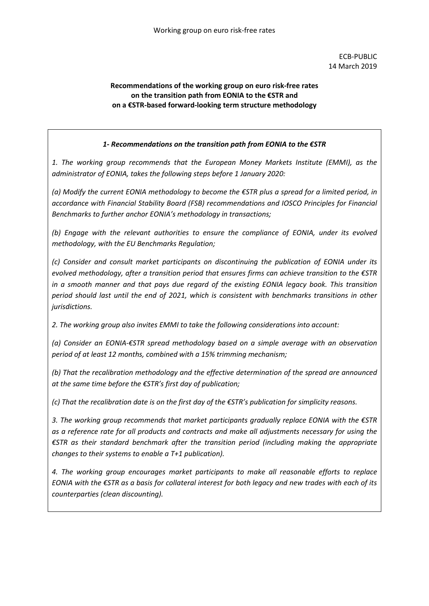## **Recommendations of the working group on euro risk-free rates on the transition path from EONIA to the €STR and on a €STR-based forward-looking term structure methodology**

## *1- Recommendations on the transition path from EONIA to the €STR*

*1. The working group recommends that the European Money Markets Institute (EMMI), as the administrator of EONIA, takes the following steps before 1 January 2020:*

*(a) Modify the current EONIA methodology to become the €STR plus a spread for a limited period, in accordance with Financial Stability Board (FSB) recommendations and IOSCO Principles for Financial Benchmarks to further anchor EONIA's methodology in transactions;* 

*(b) Engage with the relevant authorities to ensure the compliance of EONIA, under its evolved methodology, with the EU Benchmarks Regulation;* 

*(c) Consider and consult market participants on discontinuing the publication of EONIA under its evolved methodology, after a transition period that ensures firms can achieve transition to the €STR in a smooth manner and that pays due regard of the existing EONIA legacy book. This transition period should last until the end of 2021, which is consistent with benchmarks transitions in other jurisdictions.* 

*2. The working group also invites EMMI to take the following considerations into account:* 

*(a) Consider an EONIA-€STR spread methodology based on a simple average with an observation period of at least 12 months, combined with a 15% trimming mechanism;* 

*(b) That the recalibration methodology and the effective determination of the spread are announced at the same time before the €STR's first day of publication;* 

*(c) That the recalibration date is on the first day of the €STR's publication for simplicity reasons.* 

*3. The working group recommends that market participants gradually replace EONIA with the €STR as a reference rate for all products and contracts and make all adjustments necessary for using the €STR as their standard benchmark after the transition period (including making the appropriate changes to their systems to enable a T+1 publication).* 

*4. The working group encourages market participants to make all reasonable efforts to replace EONIA with the €STR as a basis for collateral interest for both legacy and new trades with each of its counterparties (clean discounting).*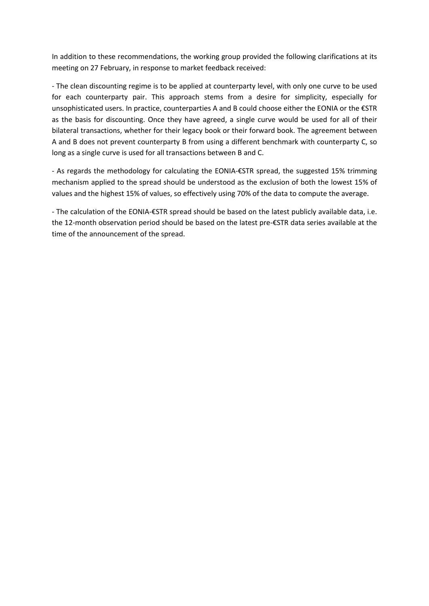In addition to these recommendations, the working group provided the following clarifications at its meeting on 27 February, in response to market feedback received:

- The clean discounting regime is to be applied at counterparty level, with only one curve to be used for each counterparty pair. This approach stems from a desire for simplicity, especially for unsophisticated users. In practice, counterparties A and B could choose either the EONIA or the €STR as the basis for discounting. Once they have agreed, a single curve would be used for all of their bilateral transactions, whether for their legacy book or their forward book. The agreement between A and B does not prevent counterparty B from using a different benchmark with counterparty C, so long as a single curve is used for all transactions between B and C.

- As regards the methodology for calculating the EONIA-€STR spread, the suggested 15% trimming mechanism applied to the spread should be understood as the exclusion of both the lowest 15% of values and the highest 15% of values, so effectively using 70% of the data to compute the average.

- The calculation of the EONIA-€STR spread should be based on the latest publicly available data, i.e. the 12-month observation period should be based on the latest pre-€STR data series available at the time of the announcement of the spread.